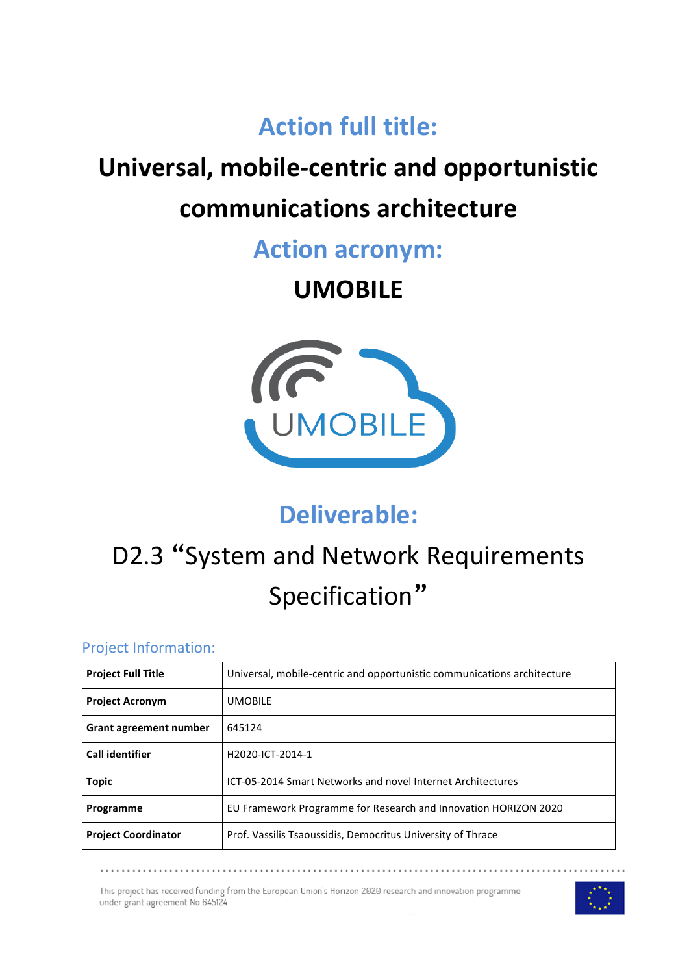# **Action full title:**

# **Universal, mobile-centric and opportunistic**

# **communications architecture**

**Action acronym:**

# **UMOBILE**



# **Deliverable:**

# D2.3 "System and Network Requirements Specification"

### Project Information:

| <b>Project Full Title</b>  | Universal, mobile-centric and opportunistic communications architecture |
|----------------------------|-------------------------------------------------------------------------|
| <b>Project Acronym</b>     | <b>UMOBILE</b>                                                          |
| Grant agreement number     | 645124                                                                  |
| <b>Call identifier</b>     | H2020-ICT-2014-1                                                        |
| <b>Topic</b>               | ICT-05-2014 Smart Networks and novel Internet Architectures             |
| Programme                  | EU Framework Programme for Research and Innovation HORIZON 2020         |
| <b>Project Coordinator</b> | Prof. Vassilis Tsaoussidis, Democritus University of Thrace             |

This project has received funding from the European Union's Horizon 2020 research and innovation programme under grant agreement No 645124

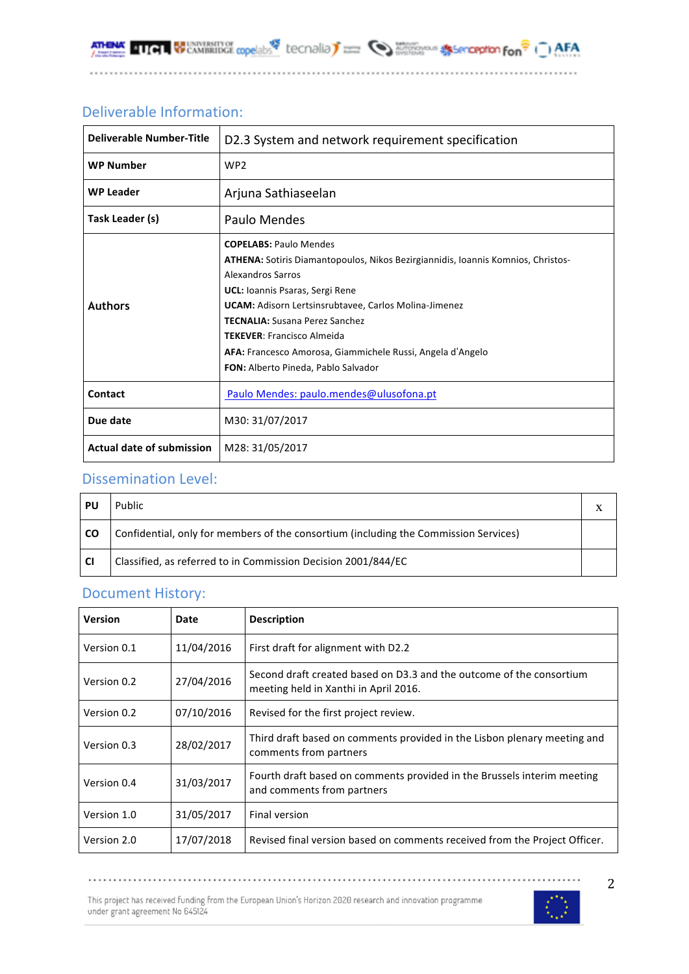### Deliverable Information:

| <b>Deliverable Number-Title</b>  | D2.3 System and network requirement specification                                                                                                                                                                                                                                                                                                                                                                                          |  |  |  |
|----------------------------------|--------------------------------------------------------------------------------------------------------------------------------------------------------------------------------------------------------------------------------------------------------------------------------------------------------------------------------------------------------------------------------------------------------------------------------------------|--|--|--|
| <b>WP Number</b>                 | WP <sub>2</sub>                                                                                                                                                                                                                                                                                                                                                                                                                            |  |  |  |
| <b>WP Leader</b>                 | Arjuna Sathiaseelan                                                                                                                                                                                                                                                                                                                                                                                                                        |  |  |  |
| Task Leader (s)                  | Paulo Mendes                                                                                                                                                                                                                                                                                                                                                                                                                               |  |  |  |
| <b>Authors</b>                   | <b>COPELABS: Paulo Mendes</b><br>ATHENA: Sotiris Diamantopoulos, Nikos Bezirgiannidis, Ioannis Komnios, Christos-<br>Alexandros Sarros<br><b>UCL:</b> Ioannis Psaras, Sergi Rene<br><b>UCAM:</b> Adisorn Lertsinsrubtavee, Carlos Molina-Jimenez<br><b>TECNALIA:</b> Susana Perez Sanchez<br><b>TEKEVER: Francisco Almeida</b><br>AFA: Francesco Amorosa, Giammichele Russi, Angela d'Angelo<br><b>FON:</b> Alberto Pineda, Pablo Salvador |  |  |  |
| Contact                          | Paulo Mendes: paulo.mendes@ulusofona.pt                                                                                                                                                                                                                                                                                                                                                                                                    |  |  |  |
| Due date                         | M30: 31/07/2017                                                                                                                                                                                                                                                                                                                                                                                                                            |  |  |  |
| <b>Actual date of submission</b> | M28: 31/05/2017                                                                                                                                                                                                                                                                                                                                                                                                                            |  |  |  |

### Dissemination Level:

| PU        | Public                                                                               |  |
|-----------|--------------------------------------------------------------------------------------|--|
| <b>CO</b> | Confidential, only for members of the consortium (including the Commission Services) |  |
| <b>CI</b> | Classified, as referred to in Commission Decision 2001/844/EC                        |  |

### Document History:

| <b>Version</b> | Date       | <b>Description</b>                                                                                            |
|----------------|------------|---------------------------------------------------------------------------------------------------------------|
| Version 0.1    | 11/04/2016 | First draft for alignment with D2.2                                                                           |
| Version 0.2    | 27/04/2016 | Second draft created based on D3.3 and the outcome of the consortium<br>meeting held in Xanthi in April 2016. |
| Version 0.2    | 07/10/2016 | Revised for the first project review.                                                                         |
| Version 0.3    | 28/02/2017 | Third draft based on comments provided in the Lisbon plenary meeting and<br>comments from partners            |
| Version 0.4    | 31/03/2017 | Fourth draft based on comments provided in the Brussels interim meeting<br>and comments from partners         |
| Version 1.0    | 31/05/2017 | Final version                                                                                                 |
| Version 2.0    | 17/07/2018 | Revised final version based on comments received from the Project Officer.                                    |

This project has received funding from the European Union's Horizon 2020 research and innovation programme<br>under grant agreement No 645124

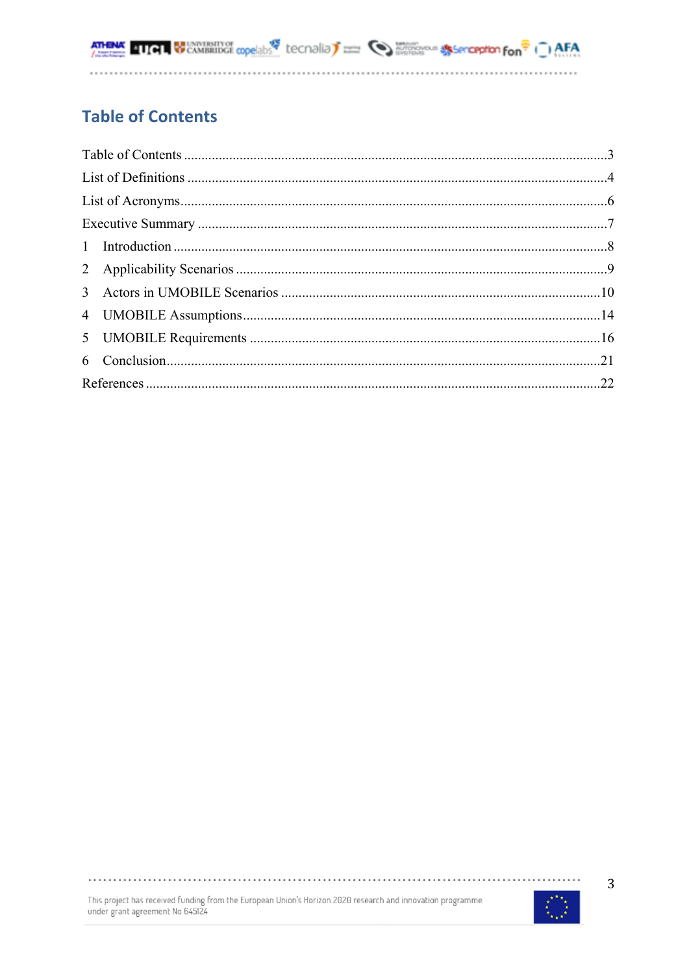**ATHEMA QUALITY SCANDRIDGE copelabs** tecnolia) **There** Contains and the second fon<sup><sup>2</sup> ( ) AFA</sup>

## **Table of Contents**

This project has received funding from the European Union's Horizon 2020 research and innovation programme<br>under grant agreement No 645124



. . . . . . . . . . . . . . . .

 $\cdots$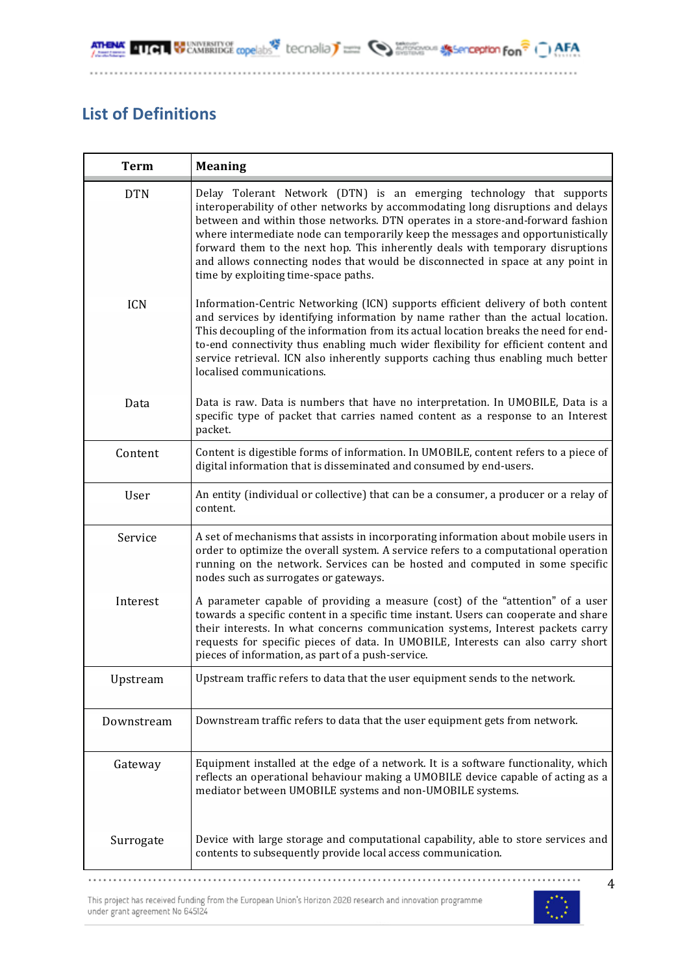**ATHEMA QUALITY SCANDRIDGE copelabs** tecnolia) **There** Contains and the second fon<sup><sup>2</sup> ( ) AFA</sup>

### **List of Definitions**

| <b>Term</b> | <b>Meaning</b>                                                                                                                                                                                                                                                                                                                                                                                                                                                                                                                            |
|-------------|-------------------------------------------------------------------------------------------------------------------------------------------------------------------------------------------------------------------------------------------------------------------------------------------------------------------------------------------------------------------------------------------------------------------------------------------------------------------------------------------------------------------------------------------|
| <b>DTN</b>  | Delay Tolerant Network (DTN) is an emerging technology that supports<br>interoperability of other networks by accommodating long disruptions and delays<br>between and within those networks. DTN operates in a store-and-forward fashion<br>where intermediate node can temporarily keep the messages and opportunistically<br>forward them to the next hop. This inherently deals with temporary disruptions<br>and allows connecting nodes that would be disconnected in space at any point in<br>time by exploiting time-space paths. |
| <b>ICN</b>  | Information-Centric Networking (ICN) supports efficient delivery of both content<br>and services by identifying information by name rather than the actual location.<br>This decoupling of the information from its actual location breaks the need for end-<br>to-end connectivity thus enabling much wider flexibility for efficient content and<br>service retrieval. ICN also inherently supports caching thus enabling much better<br>localised communications.                                                                      |
| Data        | Data is raw. Data is numbers that have no interpretation. In UMOBILE, Data is a<br>specific type of packet that carries named content as a response to an Interest<br>packet.                                                                                                                                                                                                                                                                                                                                                             |
| Content     | Content is digestible forms of information. In UMOBILE, content refers to a piece of<br>digital information that is disseminated and consumed by end-users.                                                                                                                                                                                                                                                                                                                                                                               |
| User        | An entity (individual or collective) that can be a consumer, a producer or a relay of<br>content.                                                                                                                                                                                                                                                                                                                                                                                                                                         |
| Service     | A set of mechanisms that assists in incorporating information about mobile users in<br>order to optimize the overall system. A service refers to a computational operation<br>running on the network. Services can be hosted and computed in some specific<br>nodes such as surrogates or gateways.                                                                                                                                                                                                                                       |
| Interest    | A parameter capable of providing a measure (cost) of the "attention" of a user<br>towards a specific content in a specific time instant. Users can cooperate and share<br>their interests. In what concerns communication systems, Interest packets carry<br>requests for specific pieces of data. In UMOBILE, Interests can also carry short<br>pieces of information, as part of a push-service.                                                                                                                                        |
| Upstream    | Upstream traffic refers to data that the user equipment sends to the network.                                                                                                                                                                                                                                                                                                                                                                                                                                                             |
| Downstream  | Downstream traffic refers to data that the user equipment gets from network.                                                                                                                                                                                                                                                                                                                                                                                                                                                              |
| Gateway     | Equipment installed at the edge of a network. It is a software functionality, which<br>reflects an operational behaviour making a UMOBILE device capable of acting as a<br>mediator between UMOBILE systems and non-UMOBILE systems.                                                                                                                                                                                                                                                                                                      |
| Surrogate   | Device with large storage and computational capability, able to store services and<br>contents to subsequently provide local access communication.                                                                                                                                                                                                                                                                                                                                                                                        |

This project has received funding from the European Union's Horizon 2020 research and innovation programme under grant agreement No  $645124\,$ 

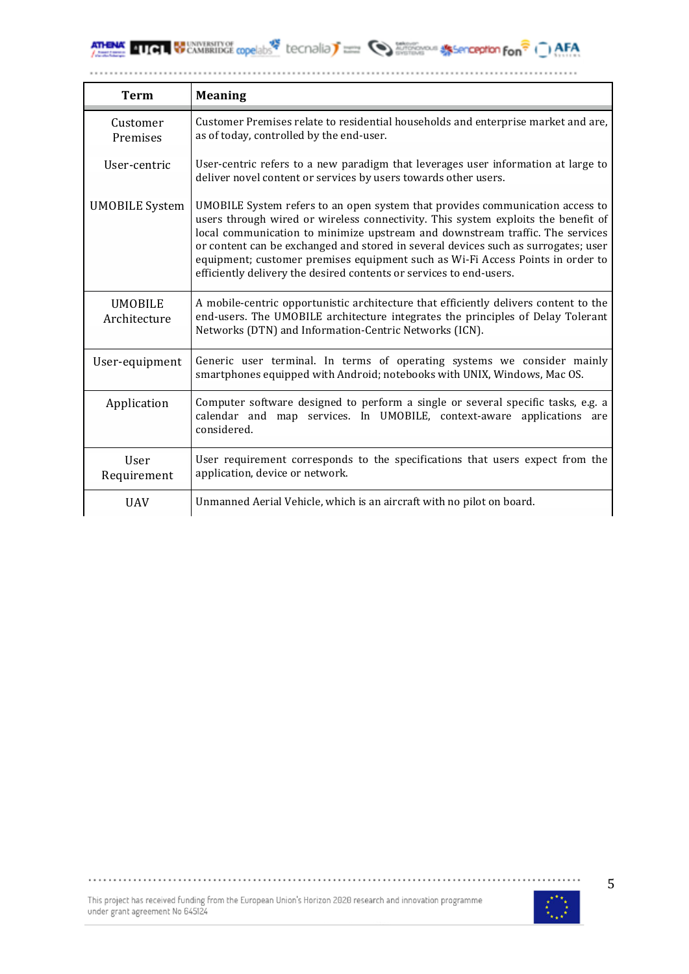**ATHENAL QUICH WELL SEE COPPORTS** COPPORTS COPPORTS COPPORTED TO A REAL ASSESSMENT OF THE CAMBRIDGE COPPORTS COPPORTS COPPORTED TO A REAL

............

| <b>Term</b>                    | <b>Meaning</b>                                                                                                                                                                                                                                                                                                                                                                                                                                                                                     |
|--------------------------------|----------------------------------------------------------------------------------------------------------------------------------------------------------------------------------------------------------------------------------------------------------------------------------------------------------------------------------------------------------------------------------------------------------------------------------------------------------------------------------------------------|
| Customer<br>Premises           | Customer Premises relate to residential households and enterprise market and are,<br>as of today, controlled by the end-user.                                                                                                                                                                                                                                                                                                                                                                      |
| User-centric                   | User-centric refers to a new paradigm that leverages user information at large to<br>deliver novel content or services by users towards other users.                                                                                                                                                                                                                                                                                                                                               |
| <b>UMOBILE System</b>          | UMOBILE System refers to an open system that provides communication access to<br>users through wired or wireless connectivity. This system exploits the benefit of<br>local communication to minimize upstream and downstream traffic. The services<br>or content can be exchanged and stored in several devices such as surrogates; user<br>equipment; customer premises equipment such as Wi-Fi Access Points in order to<br>efficiently delivery the desired contents or services to end-users. |
| <b>UMOBILE</b><br>Architecture | A mobile-centric opportunistic architecture that efficiently delivers content to the<br>end-users. The UMOBILE architecture integrates the principles of Delay Tolerant<br>Networks (DTN) and Information-Centric Networks (ICN).                                                                                                                                                                                                                                                                  |
| User-equipment                 | Generic user terminal. In terms of operating systems we consider mainly<br>smartphones equipped with Android; notebooks with UNIX, Windows, Mac OS.                                                                                                                                                                                                                                                                                                                                                |
| Application                    | Computer software designed to perform a single or several specific tasks, e.g. a<br>calendar and map services. In UMOBILE, context-aware applications are<br>considered.                                                                                                                                                                                                                                                                                                                           |
| User<br>Requirement            | User requirement corresponds to the specifications that users expect from the<br>application, device or network.                                                                                                                                                                                                                                                                                                                                                                                   |
| <b>UAV</b>                     | Unmanned Aerial Vehicle, which is an aircraft with no pilot on board.                                                                                                                                                                                                                                                                                                                                                                                                                              |



. . . . .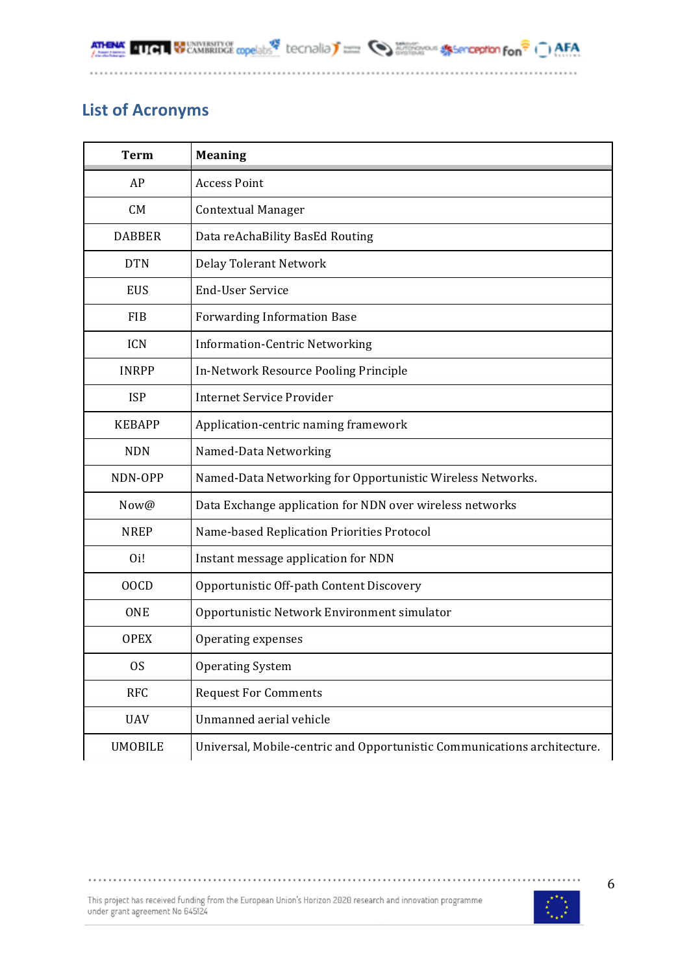**411 GUNNERSHY OF CONSENSITY OF AFA** 

### **List of Acronyms**

**ATHENA** 

| <b>Term</b>      | <b>Meaning</b>                                                           |
|------------------|--------------------------------------------------------------------------|
| AP               | <b>Access Point</b>                                                      |
| CM               | <b>Contextual Manager</b>                                                |
| <b>DABBER</b>    | Data reAchaBility BasEd Routing                                          |
| <b>DTN</b>       | Delay Tolerant Network                                                   |
| <b>EUS</b>       | <b>End-User Service</b>                                                  |
| <b>FIB</b>       | <b>Forwarding Information Base</b>                                       |
| <b>ICN</b>       | <b>Information-Centric Networking</b>                                    |
| <b>INRPP</b>     | In-Network Resource Pooling Principle                                    |
| <b>ISP</b>       | Internet Service Provider                                                |
| <b>KEBAPP</b>    | Application-centric naming framework                                     |
| <b>NDN</b>       | Named-Data Networking                                                    |
| NDN-OPP          | Named-Data Networking for Opportunistic Wireless Networks.               |
| Now@             | Data Exchange application for NDN over wireless networks                 |
| <b>NREP</b>      | Name-based Replication Priorities Protocol                               |
| O <sub>i</sub> ! | Instant message application for NDN                                      |
| 00CD             | Opportunistic Off-path Content Discovery                                 |
| <b>ONE</b>       | Opportunistic Network Environment simulator                              |
| <b>OPEX</b>      | Operating expenses                                                       |
| <sub>OS</sub>    | <b>Operating System</b>                                                  |
| <b>RFC</b>       | <b>Request For Comments</b>                                              |
| <b>UAV</b>       | Unmanned aerial vehicle                                                  |
| <b>UMOBILE</b>   | Universal, Mobile-centric and Opportunistic Communications architecture. |

This project has received funding from the European Union's Horizon 2020 research and innovation programme under grant agreement No  $645124\,$ 

.......................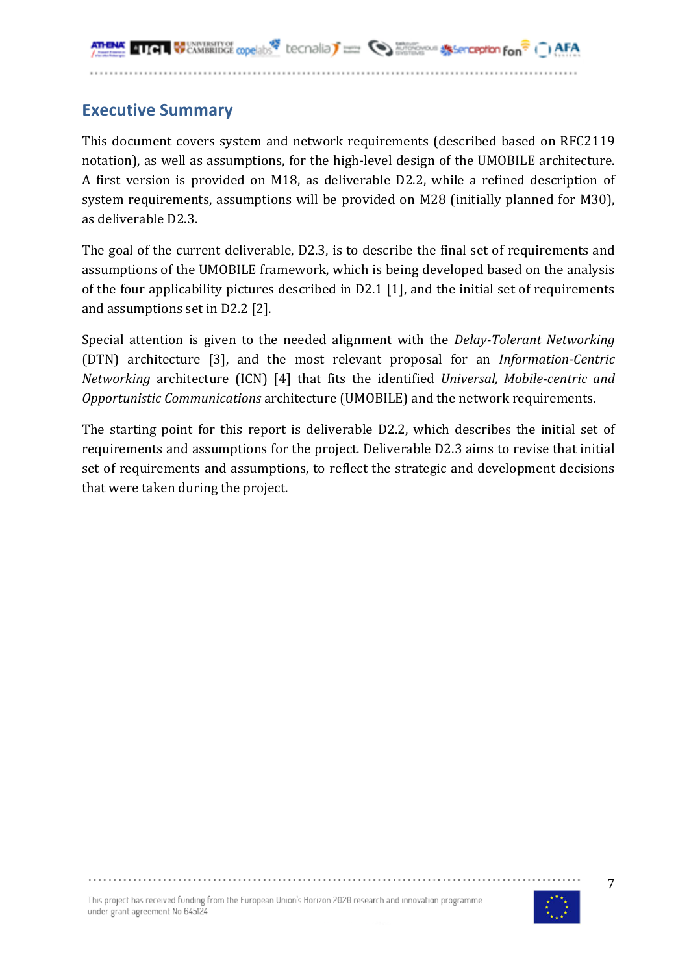### **Executive Summary**

This document covers system and network requirements (described based on RFC2119 notation), as well as assumptions, for the high-level design of the UMOBILE architecture. A first version is provided on M18, as deliverable D2.2, while a refined description of system requirements, assumptions will be provided on M28 (initially planned for M30), as deliverable D2.3.

The goal of the current deliverable, D2.3, is to describe the final set of requirements and assumptions of the UMOBILE framework, which is being developed based on the analysis of the four applicability pictures described in D2.1 [1], and the initial set of requirements and assumptions set in D2.2 [2].

Special attention is given to the needed alignment with the *Delay-Tolerant Networking* (DTN) architecture [3], and the most relevant proposal for an *Information-Centric Networking* architecture (ICN) [4] that fits the identified *Universal, Mobile-centric and Opportunistic Communications* architecture (UMOBILE) and the network requirements.

The starting point for this report is deliverable D2.2, which describes the initial set of requirements and assumptions for the project. Deliverable D2.3 aims to revise that initial set of requirements and assumptions, to reflect the strategic and development decisions that were taken during the project.

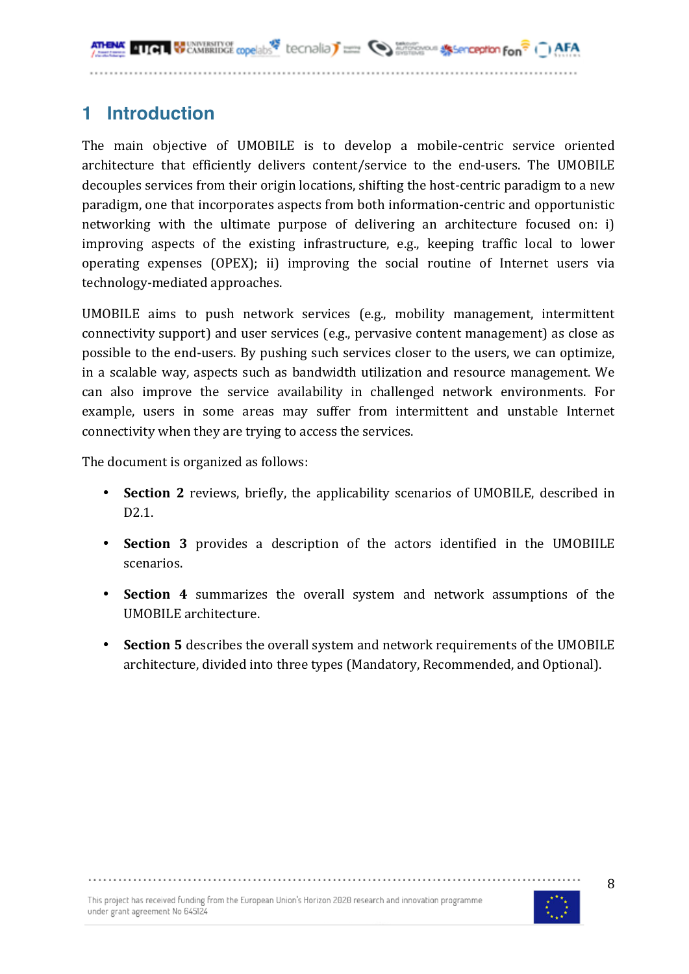## **1 Introduction**

The main objective of UMOBILE is to develop a mobile-centric service oriented architecture that efficiently delivers content/service to the end-users. The UMOBILE decouples services from their origin locations, shifting the host-centric paradigm to a new paradigm, one that incorporates aspects from both information-centric and opportunistic networking with the ultimate purpose of delivering an architecture focused on: i) improving aspects of the existing infrastructure, e.g., keeping traffic local to lower operating expenses (OPEX); ii) improving the social routine of Internet users via technology-mediated approaches.

UMOBILE aims to push network services (e.g., mobility management, intermittent connectivity support) and user services (e.g., pervasive content management) as close as possible to the end-users. By pushing such services closer to the users, we can optimize, in a scalable way, aspects such as bandwidth utilization and resource management. We can also improve the service availability in challenged network environments. For example, users in some areas may suffer from intermittent and unstable Internet connectivity when they are trying to access the services.

The document is organized as follows:

- **Section 2** reviews, briefly, the applicability scenarios of UMOBILE, described in D2.1.
- **Section 3** provides a description of the actors identified in the UMOBIILE scenarios.
- **Section 4** summarizes the overall system and network assumptions of the UMOBILE architecture.
- **Section 5** describes the overall system and network requirements of the UMOBILE architecture, divided into three types (Mandatory, Recommended, and Optional).

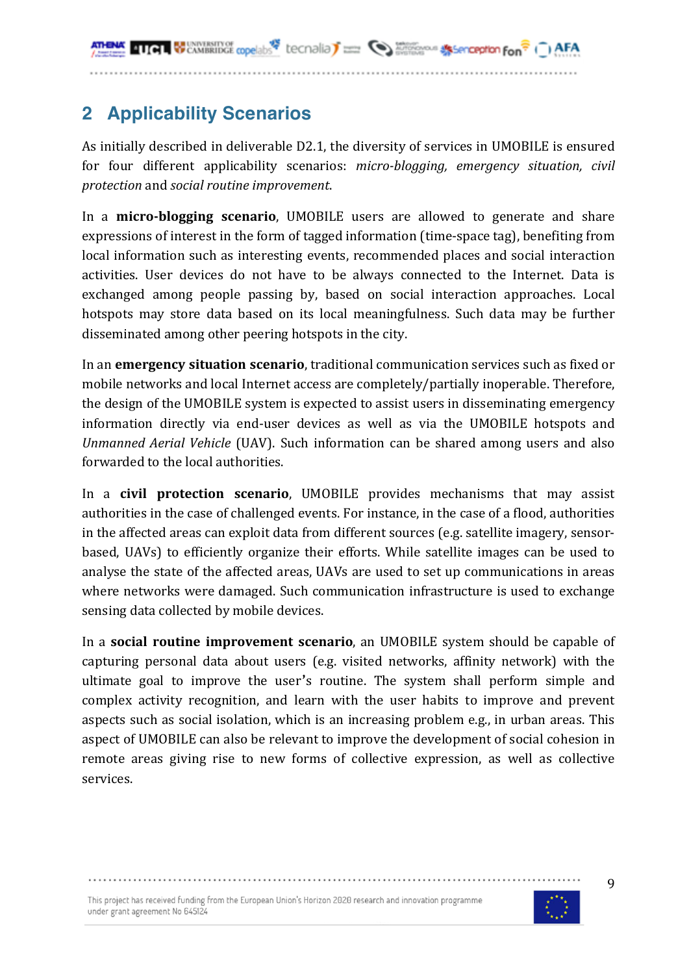**WE CAMBRIDGE copelabs** tecnalia<sup>T</sup> = **Second Strategior Second Strategior Fon**<sup></sup>

## **2 Applicability Scenarios**

As initially described in deliverable D2.1, the diversity of services in UMOBILE is ensured for four different applicability scenarios: *micro-blogging, emergency situation, civil protection* and *social routine improvement*.

In a **micro-blogging scenario**, UMOBILE users are allowed to generate and share expressions of interest in the form of tagged information (time-space tag), benefiting from local information such as interesting events, recommended places and social interaction activities. User devices do not have to be always connected to the Internet. Data is exchanged among people passing by, based on social interaction approaches. Local hotspots may store data based on its local meaningfulness. Such data may be further disseminated among other peering hotspots in the city.

In an **emergency situation scenario**, traditional communication services such as fixed or mobile networks and local Internet access are completely/partially inoperable. Therefore, the design of the UMOBILE system is expected to assist users in disseminating emergency information directly via end-user devices as well as via the UMOBILE hotspots and *Unmanned Aerial Vehicle* (UAV). Such information can be shared among users and also forwarded to the local authorities.

In a **civil protection scenario**, UMOBILE provides mechanisms that may assist authorities in the case of challenged events. For instance, in the case of a flood, authorities in the affected areas can exploit data from different sources (e.g. satellite imagery, sensorbased, UAVs) to efficiently organize their efforts. While satellite images can be used to analyse the state of the affected areas, UAVs are used to set up communications in areas where networks were damaged. Such communication infrastructure is used to exchange sensing data collected by mobile devices.

In a **social routine improvement scenario**, an UMOBILE system should be capable of capturing personal data about users (e.g. visited networks, affinity network) with the ultimate goal to improve the user's routine. The system shall perform simple and complex activity recognition, and learn with the user habits to improve and prevent aspects such as social isolation, which is an increasing problem e.g., in urban areas. This aspect of UMOBILE can also be relevant to improve the development of social cohesion in remote areas giving rise to new forms of collective expression, as well as collective services.

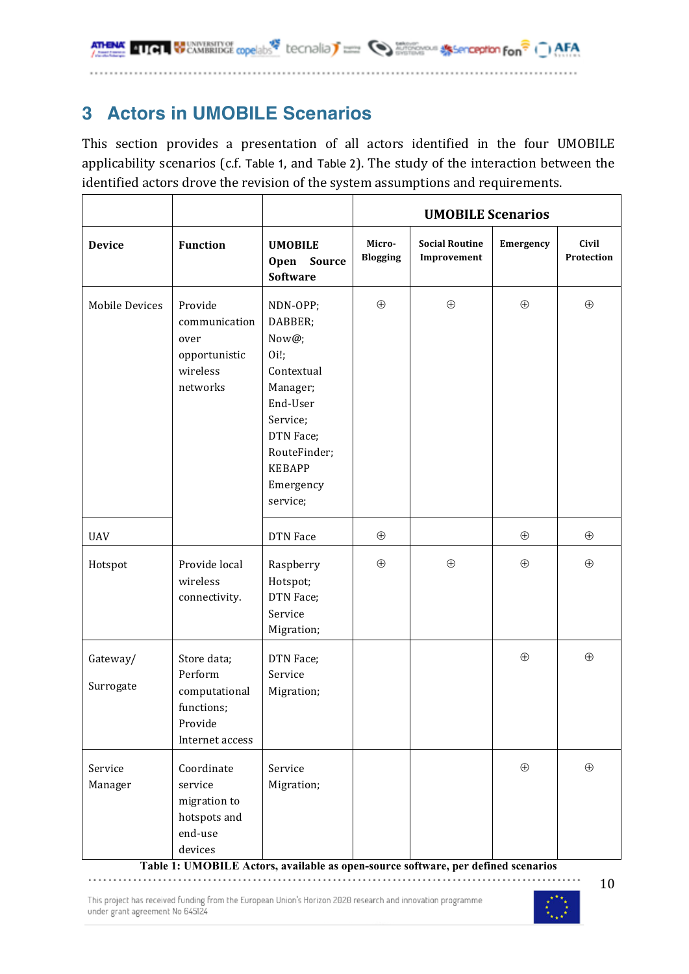## **3 Actors in UMOBILE Scenarios**

This section provides a presentation of all actors identified in the four UMOBILE applicability scenarios (c.f. Table 1, and Table 2). The study of the interaction between the identified actors drove the revision of the system assumptions and requirements.

|                       |                                                                                     |                                                                                                                                                              | <b>UMOBILE Scenarios</b>  |                                      |             |                            |
|-----------------------|-------------------------------------------------------------------------------------|--------------------------------------------------------------------------------------------------------------------------------------------------------------|---------------------------|--------------------------------------|-------------|----------------------------|
| <b>Device</b>         | <b>Function</b>                                                                     | <b>UMOBILE</b><br><b>Open</b><br>Source<br>Software                                                                                                          | Micro-<br><b>Blogging</b> | <b>Social Routine</b><br>Improvement | Emergency   | <b>Civil</b><br>Protection |
| <b>Mobile Devices</b> | Provide<br>communication<br>over<br>opportunistic<br>wireless<br>networks           | NDN-OPP;<br>DABBER;<br>Now@;<br>0i!<br>Contextual<br>Manager;<br>End-User<br>Service;<br>DTN Face;<br>RouteFinder;<br><b>KEBAPP</b><br>Emergency<br>service; | $\oplus$                  | $\oplus$                             | $\oplus$    | $\oplus$                   |
| <b>UAV</b>            |                                                                                     | DTN Face                                                                                                                                                     | $\oplus$                  |                                      | $\oplus$    | $\oplus$                   |
| Hotspot               | Provide local<br>wireless<br>connectivity.                                          | Raspberry<br>Hotspot;<br>DTN Face;<br>Service<br>Migration;                                                                                                  | $\bigoplus$               | $\bigoplus$                          | $\bigoplus$ | $\bigoplus$                |
| Gateway/<br>Surrogate | Store data;<br>Perform<br>computational<br>functions;<br>Provide<br>Internet access | DTN Face;<br>Service<br>Migration;                                                                                                                           |                           |                                      | $\bigoplus$ | $\bigoplus$                |
| Service<br>Manager    | Coordinate<br>service<br>migration to<br>hotspots and<br>end-use<br>devices         | Service<br>Migration;                                                                                                                                        |                           |                                      | $\oplus$    | $\oplus$                   |

**Table 1: UMOBILE Actors, available as open-source software, per defined scenarios**

This project has received funding from the European Union's Horizon 2020 research and innovation programme under grant agreement No 645124

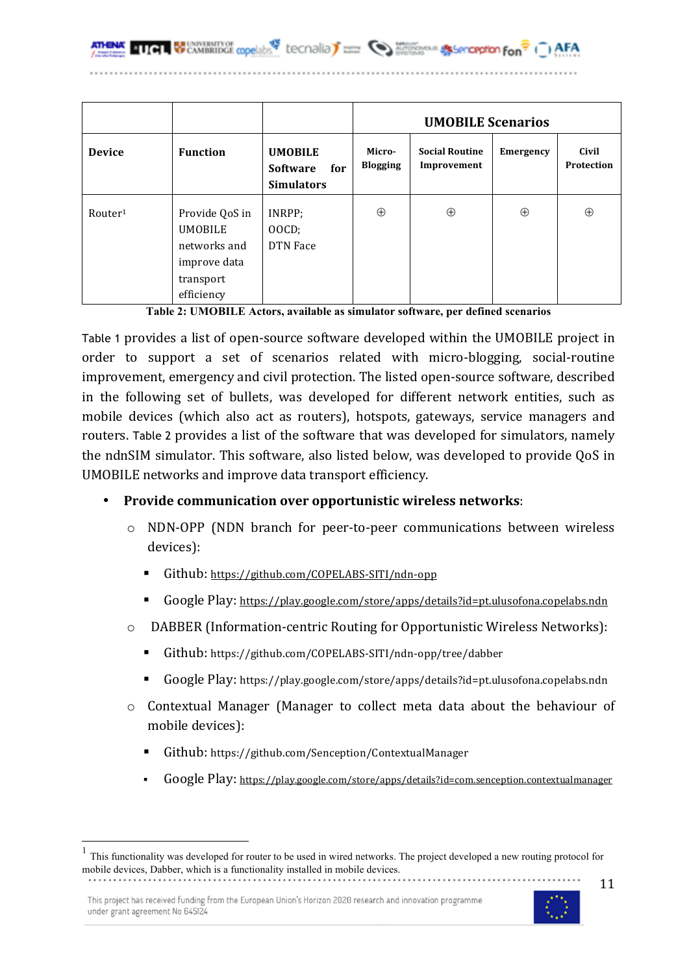networks and improve data transport efficiency

|                     |                                  |                                                               | <b>UMOBILE Scenarios</b>  |                                      |                  |                     |
|---------------------|----------------------------------|---------------------------------------------------------------|---------------------------|--------------------------------------|------------------|---------------------|
| <b>Device</b>       | <b>Function</b>                  | <b>UMOBILE</b><br>for<br><b>Software</b><br><b>Simulators</b> | Micro-<br><b>Blogging</b> | <b>Social Routine</b><br>Improvement | <b>Emergency</b> | Civil<br>Protection |
| Router <sup>1</sup> | Provide QoS in<br><b>UMOBILE</b> | INRPP;<br>OOCD:                                               | $\oplus$                  | $\oplus$                             | $\oplus$         | $\oplus$            |

| Table 2: UMOBILE Actors, available as simulator software, per defined scenarios |  |  |
|---------------------------------------------------------------------------------|--|--|
|                                                                                 |  |  |

Table 1 provides a list of open-source software developed within the UMOBILE project in order to support a set of scenarios related with micro-blogging, social-routine improvement, emergency and civil protection. The listed open-source software, described in the following set of bullets, was developed for different network entities, such as mobile devices (which also act as routers), hotspots, gateways, service managers and routers. Table 2 provides a list of the software that was developed for simulators, namely the ndnSIM simulator. This software, also listed below, was developed to provide QoS in UMOBILE networks and improve data transport efficiency.

### • **Provide communication over opportunistic wireless networks**:

- o NDN-OPP (NDN branch for peer-to-peer communications between wireless devices):
	- Github: https://github.com/COPELABS-SITI/ndn-opp

DTN Face

- Google Play: https://play.google.com/store/apps/details?id=pt.ulusofona.copelabs.ndn
- o DABBER (Information-centric Routing for Opportunistic Wireless Networks):
	- ! Github: https://github.com/COPELABS-SITI/ndn-opp/tree/dabber
	- Google Play: https://play.google.com/store/apps/details?id=pt.ulusofona.copelabs.ndn
- o Contextual Manager (Manager to collect meta data about the behaviour of mobile devices):
	- Github: https://github.com/Senception/ContextualManager
	- ! Google Play: https://play.google.com/store/apps/details?id=com.senception.contextualmanager



 <sup>1</sup> This functionality was developed for router to be used in wired networks. The project developed <sup>a</sup> new routing protocol for mobile devices, Dabber, which is a functionality installed in mobile devices.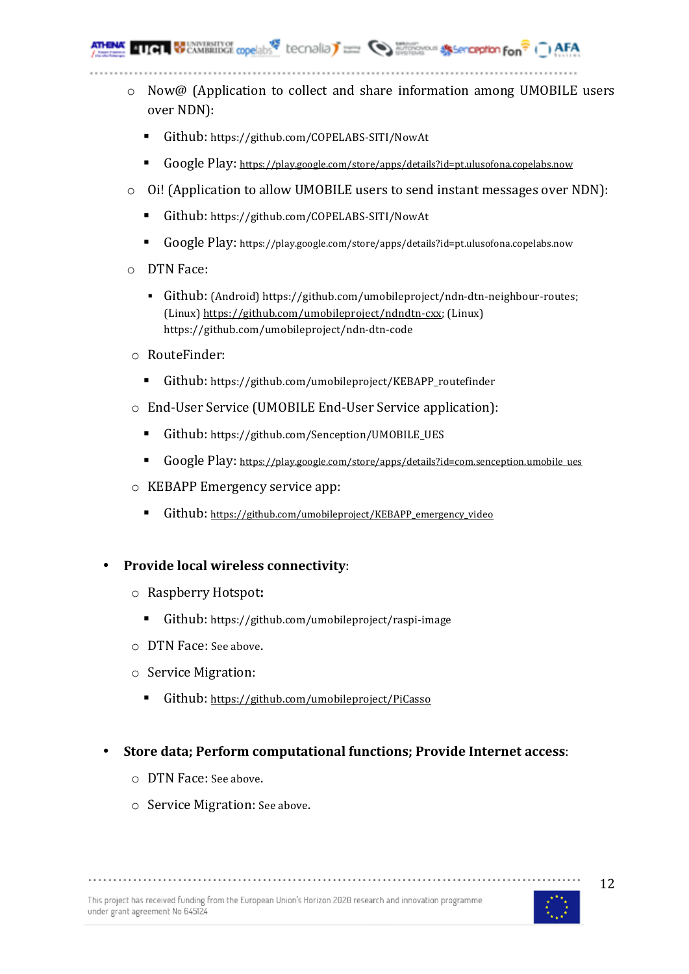**WEANIRMORE CODE IDS** tecnolia) and **Contract the Second Second Form** 

o Now@ (Application to collect and share information among UMOBILE users over NDN):

- Github: https://github.com/COPELABS-SITI/NowAt
- ! Google Play: https://play.google.com/store/apps/details?id=pt.ulusofona.copelabs.now
- o Oi! (Application to allow UMOBILE users to send instant messages over NDN):
	- ! Github: https://github.com/COPELABS-SITI/NowAt
	- ! Google Play: https://play.google.com/store/apps/details?id=pt.ulusofona.copelabs.now
- o DTN Face:
	- ! Github: (Android) https://github.com/umobileproject/ndn-dtn-neighbour-routes; (Linux) https://github.com/umobileproject/ndndtn-cxx; (Linux) https://github.com/umobileproject/ndn-dtn-code
- o RouteFinder:
	- Github: https://github.com/umobileproject/KEBAPP\_routefinder
- o End-User Service (UMOBILE End-User Service application):
	- ! Github: https://github.com/Senception/UMOBILE\_UES
	- ! Google Play: https://play.google.com/store/apps/details?id=com.senception.umobile\_ues
- o KEBAPP Emergency service app:
	- ! Github: https://github.com/umobileproject/KEBAPP\_emergency\_video
- **Provide local wireless connectivity**:
	- o Raspberry Hotspot**:**
		- ! Github: https://github.com/umobileproject/raspi-image
	- o DTN Face: See above.
	- o Service Migration:
		- ! Github: https://github.com/umobileproject/PiCasso
- **Store data; Perform computational functions; Provide Internet access**:

- o DTN Face: See above.
- o Service Migration: See above.

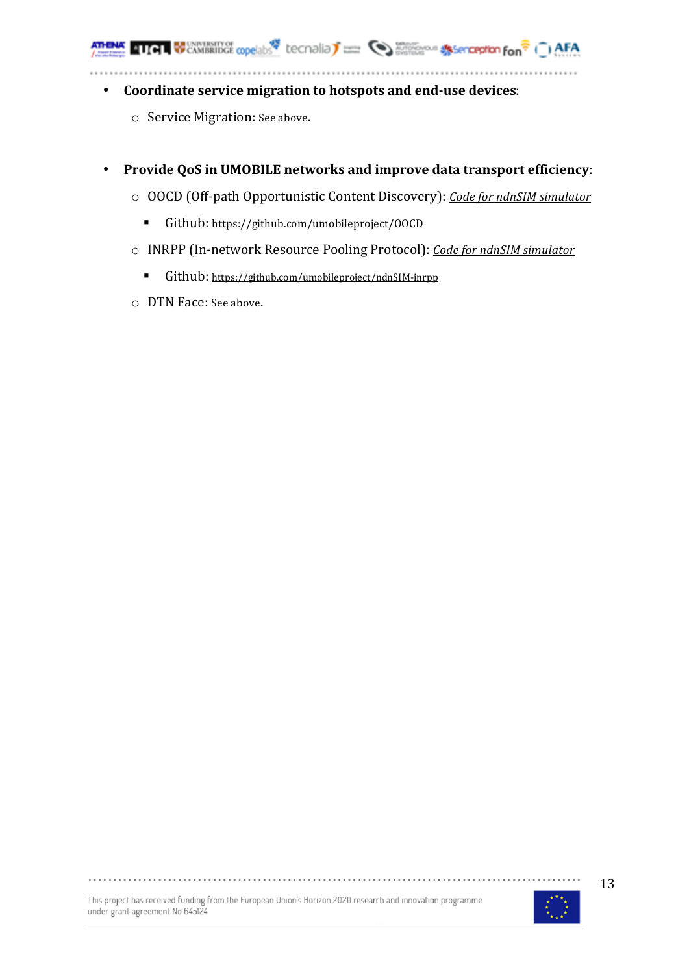- **Coordinate service migration to hotspots and end-use devices**:
	- o Service Migration: See above.
- **Provide QoS in UMOBILE networks and improve data transport efficiency**:
	- o OOCD (Off-path Opportunistic Content Discovery): *Code for ndnSIM simulator*
		- ! Github: https://github.com/umobileproject/OOCD
	- o INRPP (In-network Resource Pooling Protocol): *Code for ndnSIM simulator*
		- ! Github: https://github.com/umobileproject/ndnSIM-inrpp
	- o DTN Face: See above.

This project has received funding from the European Union's Horizon 2020 research and innovation programme under grant agreement No 645124

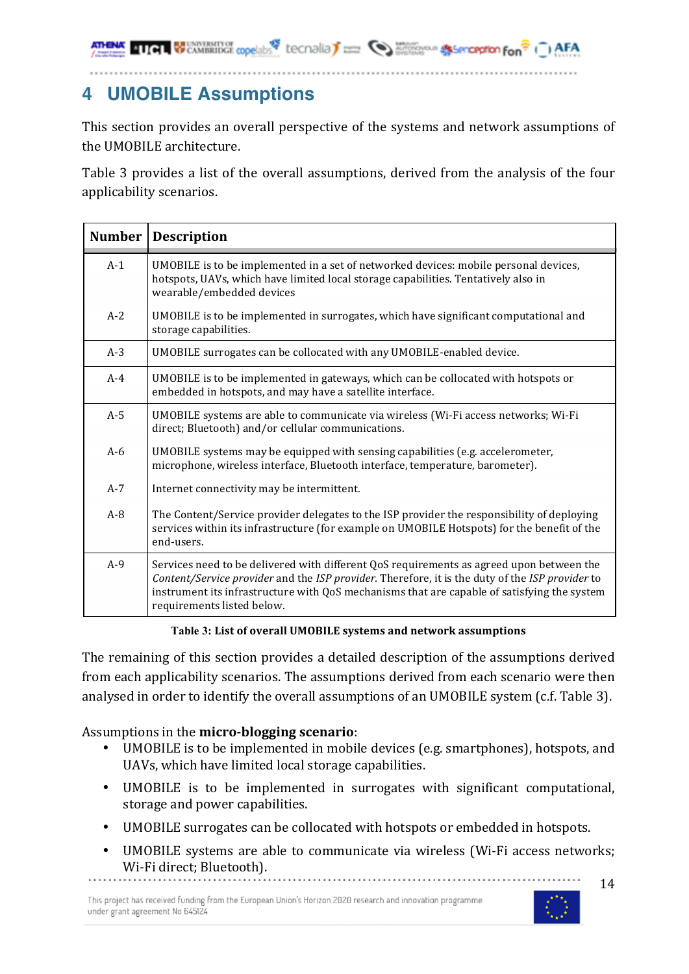**TIGE & CAMBRIDGE copelabs Lecondia) The Completion of the Secondian Fon<sup>?</sup>** 

## **4 UMOBILE Assumptions**

This section provides an overall perspective of the systems and network assumptions of the UMOBILE architecture.

Table 3 provides a list of the overall assumptions, derived from the analysis of the four applicability scenarios.

| <b>Number</b> | <b>Description</b>                                                                                                                                                                                                                                                                                                       |
|---------------|--------------------------------------------------------------------------------------------------------------------------------------------------------------------------------------------------------------------------------------------------------------------------------------------------------------------------|
| $A-1$         | UMOBILE is to be implemented in a set of networked devices: mobile personal devices,<br>hotspots, UAVs, which have limited local storage capabilities. Tentatively also in<br>wearable/embedded devices                                                                                                                  |
| $A-2$         | UMOBILE is to be implemented in surrogates, which have significant computational and<br>storage capabilities.                                                                                                                                                                                                            |
| $A-3$         | UMOBILE surrogates can be collocated with any UMOBILE-enabled device.                                                                                                                                                                                                                                                    |
| $A-4$         | UMOBILE is to be implemented in gateways, which can be collocated with hotspots or<br>embedded in hotspots, and may have a satellite interface.                                                                                                                                                                          |
| $A-5$         | UMOBILE systems are able to communicate via wireless (Wi-Fi access networks; Wi-Fi<br>direct; Bluetooth) and/or cellular communications.                                                                                                                                                                                 |
| $A-6$         | UMOBILE systems may be equipped with sensing capabilities (e.g. accelerometer,<br>microphone, wireless interface, Bluetooth interface, temperature, barometer).                                                                                                                                                          |
| $A-7$         | Internet connectivity may be intermittent.                                                                                                                                                                                                                                                                               |
| $A - 8$       | The Content/Service provider delegates to the ISP provider the responsibility of deploying<br>services within its infrastructure (for example on UMOBILE Hotspots) for the benefit of the<br>end-users.                                                                                                                  |
| $A-9$         | Services need to be delivered with different QoS requirements as agreed upon between the<br>Content/Service provider and the ISP provider. Therefore, it is the duty of the ISP provider to<br>instrument its infrastructure with QoS mechanisms that are capable of satisfying the system<br>requirements listed below. |

**Table 3: List of overall UMOBILE systems and network assumptions**

The remaining of this section provides a detailed description of the assumptions derived from each applicability scenarios. The assumptions derived from each scenario were then analysed in order to identify the overall assumptions of an UMOBILE system (c.f. Table 3).

### Assumptions in the **micro-blogging scenario**:

- UMOBILE is to be implemented in mobile devices (e.g. smartphones), hotspots, and UAVs, which have limited local storage capabilities.
- UMOBILE is to be implemented in surrogates with significant computational, storage and power capabilities.
- UMOBILE surrogates can be collocated with hotspots or embedded in hotspots.
- UMOBILE systems are able to communicate via wireless (Wi-Fi access networks; Wi-Fi direct; Bluetooth).

This project has received funding from the European Union's Horizon 2020 research and innovation programme under grant agreement No 645124

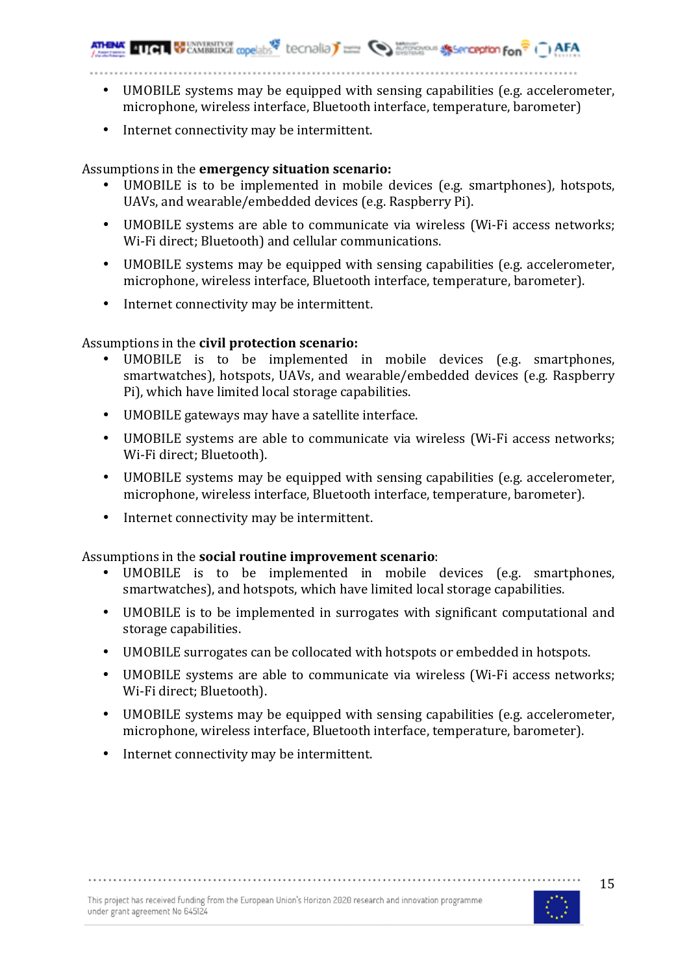**410 BUSINESS TYPE COORDING THE CONTROL** SUPPORT COORS AND THE COORDING TO THE COORDING TO THE COORDING TO THE COORDING TO THE COORDING TO THE COORDING TO THE COORDING TO THE COORDING TO THE COORDING TO THE COORDING TO THE

- UMOBILE systems may be equipped with sensing capabilities (e.g. accelerometer, microphone, wireless interface, Bluetooth interface, temperature, barometer)
- Internet connectivity may be intermittent.

### Assumptions in the **emergency situation scenario:**

- UMOBILE is to be implemented in mobile devices (e.g. smartphones), hotspots, UAVs, and wearable/embedded devices (e.g. Raspberry Pi).
- UMOBILE systems are able to communicate via wireless (Wi-Fi access networks; Wi-Fi direct; Bluetooth) and cellular communications.
- UMOBILE systems may be equipped with sensing capabilities (e.g. accelerometer, microphone, wireless interface, Bluetooth interface, temperature, barometer).
- Internet connectivity may be intermittent.

### Assumptions in the **civil protection scenario:**

- UMOBILE is to be implemented in mobile devices (e.g. smartphones, smartwatches), hotspots, UAVs, and wearable/embedded devices (e.g. Raspberry Pi), which have limited local storage capabilities.
- UMOBILE gateways may have a satellite interface.
- UMOBILE systems are able to communicate via wireless (Wi-Fi access networks; Wi-Fi direct; Bluetooth).
- UMOBILE systems may be equipped with sensing capabilities (e.g. accelerometer, microphone, wireless interface, Bluetooth interface, temperature, barometer).
- Internet connectivity may be intermittent.

### Assumptions in the **social routine improvement scenario**:

- UMOBILE is to be implemented in mobile devices (e.g. smartphones, smartwatches), and hotspots, which have limited local storage capabilities.
- UMOBILE is to be implemented in surrogates with significant computational and storage capabilities.
- UMOBILE surrogates can be collocated with hotspots or embedded in hotspots.
- UMOBILE systems are able to communicate via wireless (Wi-Fi access networks; Wi-Fi direct; Bluetooth).
- UMOBILE systems may be equipped with sensing capabilities (e.g. accelerometer, microphone, wireless interface, Bluetooth interface, temperature, barometer).
- Internet connectivity may be intermittent.

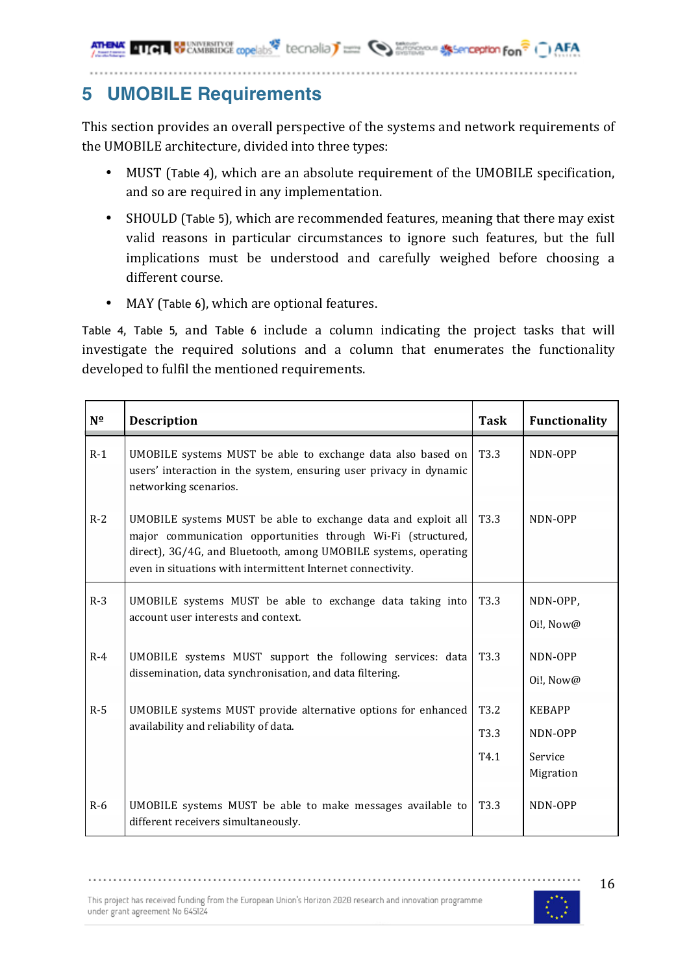**TIGE CAMBRIDGE copelabs Lecondia) Example 10 Marshave Alternation fon<sup>2</sup> ( ) AFA** 

## **5 UMOBILE Requirements**

This section provides an overall perspective of the systems and network requirements of the UMOBILE architecture, divided into three types:

- MUST (Table 4), which are an absolute requirement of the UMOBILE specification, and so are required in any implementation.
- SHOULD (Table 5), which are recommended features, meaning that there may exist valid reasons in particular circumstances to ignore such features, but the full implications must be understood and carefully weighed before choosing a different course.
- MAY (Table 6), which are optional features.

Table 4, Table 5, and Table 6 include a column indicating the project tasks that will investigate the required solutions and a column that enumerates the functionality developed to fulfil the mentioned requirements.

| $N^{\Omega}$ | <b>Description</b>                                                                                                                                                                                                                                              | <b>Task</b>                                              | Functionality                                    |
|--------------|-----------------------------------------------------------------------------------------------------------------------------------------------------------------------------------------------------------------------------------------------------------------|----------------------------------------------------------|--------------------------------------------------|
| $R-1$        | UMOBILE systems MUST be able to exchange data also based on<br>users' interaction in the system, ensuring user privacy in dynamic<br>networking scenarios.                                                                                                      | T <sub>3.3</sub>                                         | NDN-OPP                                          |
| $R-2$        | UMOBILE systems MUST be able to exchange data and exploit all<br>major communication opportunities through Wi-Fi (structured,<br>direct), 3G/4G, and Bluetooth, among UMOBILE systems, operating<br>even in situations with intermittent Internet connectivity. | T <sub>3</sub> .3                                        | NDN-OPP                                          |
| $R-3$        | UMOBILE systems MUST be able to exchange data taking into<br>account user interests and context.                                                                                                                                                                | T <sub>3.3</sub>                                         | NDN-OPP,<br>Oi!, Now@                            |
| $R-4$        | UMOBILE systems MUST support the following services: data<br>dissemination, data synchronisation, and data filtering.                                                                                                                                           | T3.3                                                     | NDN-OPP<br>Oi!, Now@                             |
| $R-5$        | UMOBILE systems MUST provide alternative options for enhanced<br>availability and reliability of data.                                                                                                                                                          | T <sub>3.2</sub><br>T <sub>3.3</sub><br>T <sub>4.1</sub> | <b>KEBAPP</b><br>NDN-OPP<br>Service<br>Migration |
| $R-6$        | UMOBILE systems MUST be able to make messages available to<br>different receivers simultaneously.                                                                                                                                                               | T <sub>3.3</sub>                                         | NDN-OPP                                          |



......................

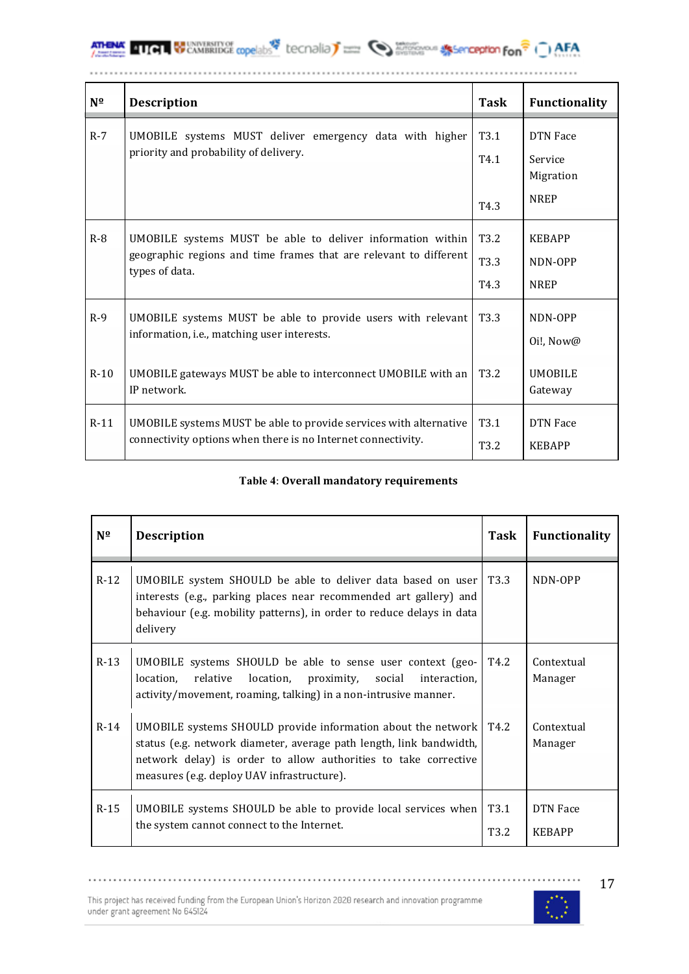**ATHENA 411 GUNNERSHY OF CONSENSITY OF AFA** 

| $N^{\Omega}$ | <b>Description</b>                                                                                                                                | <b>Task</b>                      | Functionality                           |
|--------------|---------------------------------------------------------------------------------------------------------------------------------------------------|----------------------------------|-----------------------------------------|
| $R-7$        | UMOBILE systems MUST deliver emergency data with higher<br>priority and probability of delivery.                                                  | T <sub>3.1</sub><br>T4.1         | <b>DTN</b> Face<br>Service<br>Migration |
|              |                                                                                                                                                   | T <sub>4.3</sub>                 | <b>NREP</b>                             |
| $R-8$        | UMOBILE systems MUST be able to deliver information within<br>geographic regions and time frames that are relevant to different<br>types of data. | T <sub>3.2</sub><br>T3.3<br>T4.3 | <b>KEBAPP</b><br>NDN-OPP<br><b>NREP</b> |
| $R-9$        | UMOBILE systems MUST be able to provide users with relevant<br>information, i.e., matching user interests.                                        | T <sub>3.3</sub>                 | NDN-OPP<br>Oi!, Now@                    |
| $R-10$       | UMOBILE gateways MUST be able to interconnect UMOBILE with an<br>IP network.                                                                      | T <sub>3.2</sub>                 | <b>UMOBILE</b><br>Gateway               |
| $R-11$       | UMOBILE systems MUST be able to provide services with alternative<br>connectivity options when there is no Internet connectivity.                 | T <sub>3.1</sub><br>T3.2         | <b>DTN</b> Face<br><b>KEBAPP</b>        |

#### **Table 4**: **Overall mandatory requirements**

| $N^{\Omega}$ | <b>Description</b>                                                                                                                                                                                                                                          | Task         | <b>Functionality</b>      |
|--------------|-------------------------------------------------------------------------------------------------------------------------------------------------------------------------------------------------------------------------------------------------------------|--------------|---------------------------|
| $R-12$       | UMOBILE system SHOULD be able to deliver data based on user<br>interests (e.g., parking places near recommended art gallery) and<br>behaviour (e.g. mobility patterns), in order to reduce delays in data<br>delivery                                       | T3.3         | NDN-OPP                   |
| $R-13$       | UMOBILE systems SHOULD be able to sense user context (geo-<br>location, proximity,<br>location,<br>relative<br>social<br>interaction.<br>activity/movement, roaming, talking) in a non-intrusive manner.                                                    | T4.2         | Contextual<br>Manager     |
| $R-14$       | UMOBILE systems SHOULD provide information about the network   T4.2<br>status (e.g. network diameter, average path length, link bandwidth,<br>network delay) is order to allow authorities to take corrective<br>measures (e.g. deploy UAV infrastructure). |              | Contextual<br>Manager     |
| $R-15$       | UMOBILE systems SHOULD be able to provide local services when<br>the system cannot connect to the Internet.                                                                                                                                                 | T3.1<br>T3.2 | DTN Face<br><b>KEBAPP</b> |

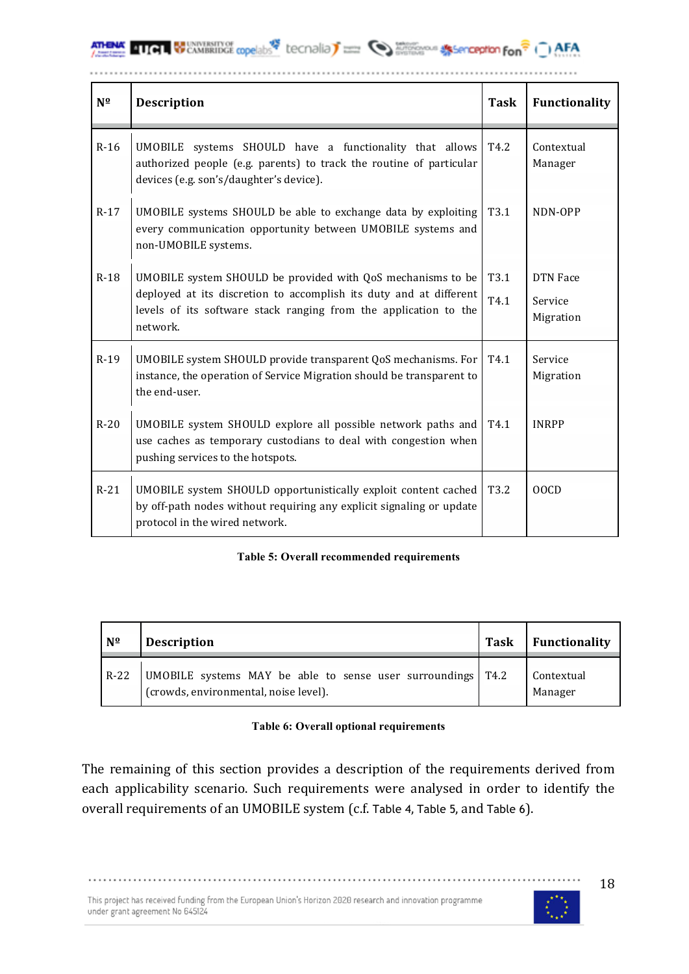

| $N^{\Omega}$ | <b>Description</b>                                                                                                                                                                                                | <b>Task</b>      | Functionality                           |
|--------------|-------------------------------------------------------------------------------------------------------------------------------------------------------------------------------------------------------------------|------------------|-----------------------------------------|
| $R-16$       | UMOBILE systems SHOULD have a functionality that allows<br>authorized people (e.g. parents) to track the routine of particular<br>devices (e.g. son's/daughter's device).                                         | T4.2             | Contextual<br>Manager                   |
| $R-17$       | UMOBILE systems SHOULD be able to exchange data by exploiting<br>every communication opportunity between UMOBILE systems and<br>non-UMOBILE systems.                                                              | T <sub>3.1</sub> | NDN-OPP                                 |
| $R-18$       | UMOBILE system SHOULD be provided with QoS mechanisms to be<br>deployed at its discretion to accomplish its duty and at different<br>levels of its software stack ranging from the application to the<br>network. | T3.1<br>T4.1     | <b>DTN</b> Face<br>Service<br>Migration |
| $R-19$       | UMOBILE system SHOULD provide transparent QoS mechanisms. For<br>instance, the operation of Service Migration should be transparent to<br>the end-user.                                                           | T4.1             | Service<br>Migration                    |
| $R-20$       | UMOBILE system SHOULD explore all possible network paths and<br>use caches as temporary custodians to deal with congestion when<br>pushing services to the hotspots.                                              | T <sub>4.1</sub> | <b>INRPP</b>                            |
| $R-21$       | UMOBILE system SHOULD opportunistically exploit content cached<br>by off-path nodes without requiring any explicit signaling or update<br>protocol in the wired network.                                          | T <sub>3.2</sub> | 00CD                                    |

#### **Table 5: Overall recommended requirements**

| N <sup>o</sup> | <b>Description</b>                                                                                     | Task | Functionality         |
|----------------|--------------------------------------------------------------------------------------------------------|------|-----------------------|
| $R-22$         | UMOBILE systems MAY be able to sense user surroundings   T4.2<br>(crowds, environmental, noise level). |      | Contextual<br>Manager |

#### **Table 6: Overall optional requirements**

The remaining of this section provides a description of the requirements derived from each applicability scenario. Such requirements were analysed in order to identify the overall requirements of an UMOBILE system (c.f. Table 4, Table 5, and Table 6).

. . . . . . . . . . . . . . . .

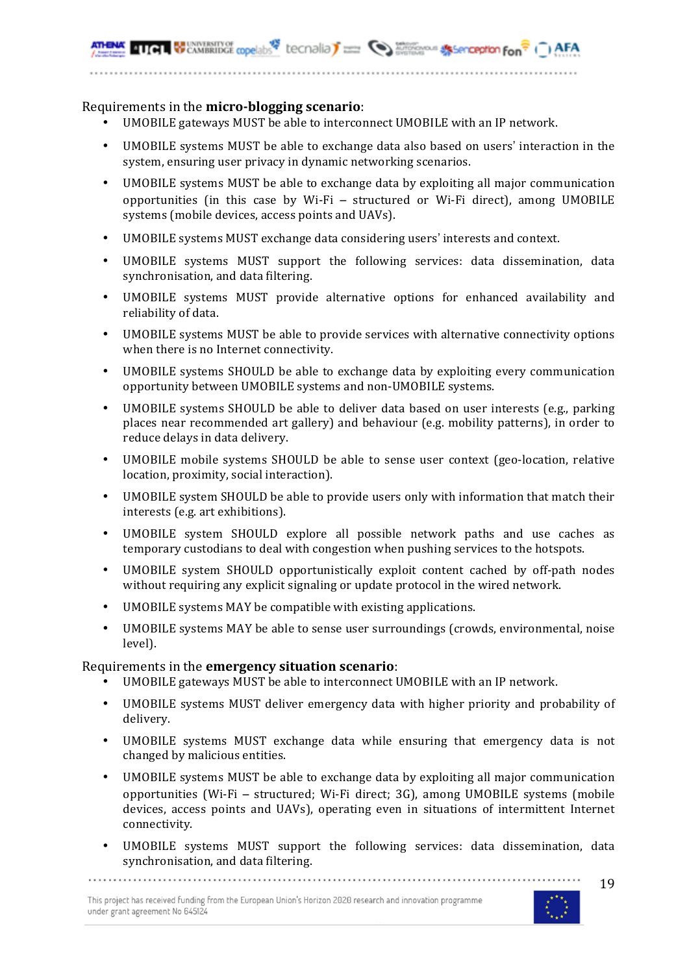#### Requirements in the **micro-blogging scenario**:

- UMOBILE gateways MUST be able to interconnect UMOBILE with an IP network.
- UMOBILE systems MUST be able to exchange data also based on users' interaction in the system, ensuring user privacy in dynamic networking scenarios.
- UMOBILE systems MUST be able to exchange data by exploiting all major communication opportunities (in this case by Wi-Fi – structured or Wi-Fi direct), among UMOBILE systems (mobile devices, access points and UAVs).
- UMOBILE systems MUST exchange data considering users' interests and context.
- UMOBILE systems MUST support the following services: data dissemination, data synchronisation, and data filtering.
- UMOBILE systems MUST provide alternative options for enhanced availability and reliability of data.
- UMOBILE systems MUST be able to provide services with alternative connectivity options when there is no Internet connectivity.
- UMOBILE systems SHOULD be able to exchange data by exploiting every communication opportunity between UMOBILE systems and non-UMOBILE systems.
- UMOBILE systems SHOULD be able to deliver data based on user interests (e.g., parking places near recommended art gallery) and behaviour (e.g. mobility patterns), in order to reduce delays in data delivery.
- UMOBILE mobile systems SHOULD be able to sense user context (geo-location, relative location, proximity, social interaction).
- UMOBILE system SHOULD be able to provide users only with information that match their interests (e.g. art exhibitions).
- UMOBILE system SHOULD explore all possible network paths and use caches as temporary custodians to deal with congestion when pushing services to the hotspots.
- UMOBILE system SHOULD opportunistically exploit content cached by off-path nodes without requiring any explicit signaling or update protocol in the wired network.
- UMOBILE systems MAY be compatible with existing applications.
- UMOBILE systems MAY be able to sense user surroundings (crowds, environmental, noise level).

#### Requirements in the **emergency situation scenario**:

- UMOBILE gateways MUST be able to interconnect UMOBILE with an IP network.
- UMOBILE systems MUST deliver emergency data with higher priority and probability of delivery.
- UMOBILE systems MUST exchange data while ensuring that emergency data is not changed by malicious entities.
- UMOBILE systems MUST be able to exchange data by exploiting all major communication opportunities (Wi-Fi – structured; Wi-Fi direct; 3G), among UMOBILE systems (mobile devices, access points and UAVs), operating even in situations of intermittent Internet connectivity.
- UMOBILE systems MUST support the following services: data dissemination, data synchronisation, and data filtering.

This project has received funding from the European Union's Horizon 2020 research and innovation programme under grant agreement No 645124

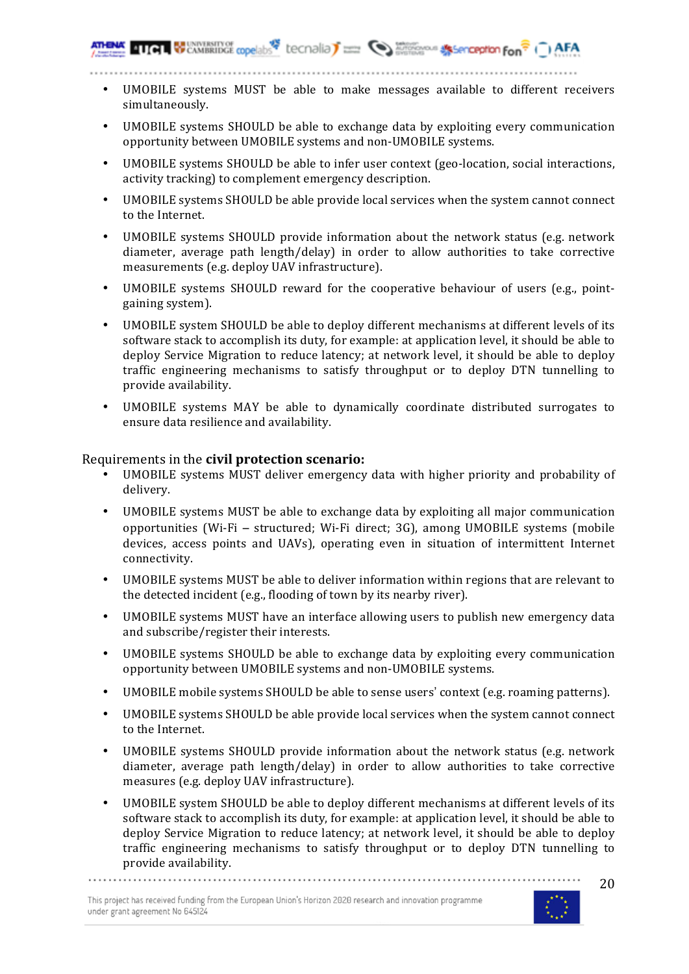- UMOBILE systems MUST be able to make messages available to different receivers simultaneously.
- UMOBILE systems SHOULD be able to exchange data by exploiting every communication opportunity between UMOBILE systems and non-UMOBILE systems.
- UMOBILE systems SHOULD be able to infer user context (geo-location, social interactions, activity tracking) to complement emergency description.
- UMOBILE systems SHOULD be able provide local services when the system cannot connect to the Internet.
- UMOBILE systems SHOULD provide information about the network status (e.g. network diameter, average path length/delay) in order to allow authorities to take corrective measurements (e.g. deploy UAV infrastructure).
- UMOBILE systems SHOULD reward for the cooperative behaviour of users (e.g., pointgaining system).
- UMOBILE system SHOULD be able to deploy different mechanisms at different levels of its software stack to accomplish its duty, for example: at application level, it should be able to deploy Service Migration to reduce latency; at network level, it should be able to deploy traffic engineering mechanisms to satisfy throughput or to deploy DTN tunnelling to provide availability.
- UMOBILE systems MAY be able to dynamically coordinate distributed surrogates to ensure data resilience and availability.

### Requirements in the **civil protection scenario:**

- UMOBILE systems MUST deliver emergency data with higher priority and probability of delivery.
- UMOBILE systems MUST be able to exchange data by exploiting all major communication opportunities (Wi-Fi – structured; Wi-Fi direct; 3G), among UMOBILE systems (mobile devices, access points and UAVs), operating even in situation of intermittent Internet connectivity.
- UMOBILE systems MUST be able to deliver information within regions that are relevant to the detected incident (e.g., flooding of town by its nearby river).
- UMOBILE systems MUST have an interface allowing users to publish new emergency data and subscribe/register their interests.
- UMOBILE systems SHOULD be able to exchange data by exploiting every communication opportunity between UMOBILE systems and non-UMOBILE systems.
- UMOBILE mobile systems SHOULD be able to sense users' context (e.g. roaming patterns).
- UMOBILE systems SHOULD be able provide local services when the system cannot connect to the Internet.
- UMOBILE systems SHOULD provide information about the network status (e.g. network diameter, average path length/delay) in order to allow authorities to take corrective measures (e.g. deploy UAV infrastructure).
- UMOBILE system SHOULD be able to deploy different mechanisms at different levels of its software stack to accomplish its duty, for example: at application level, it should be able to deploy Service Migration to reduce latency; at network level, it should be able to deploy traffic engineering mechanisms to satisfy throughput or to deploy DTN tunnelling to provide availability.

This project has received funding from the European Union's Horizon 2020 research and innovation programme under grant agreement No 645124

.............................

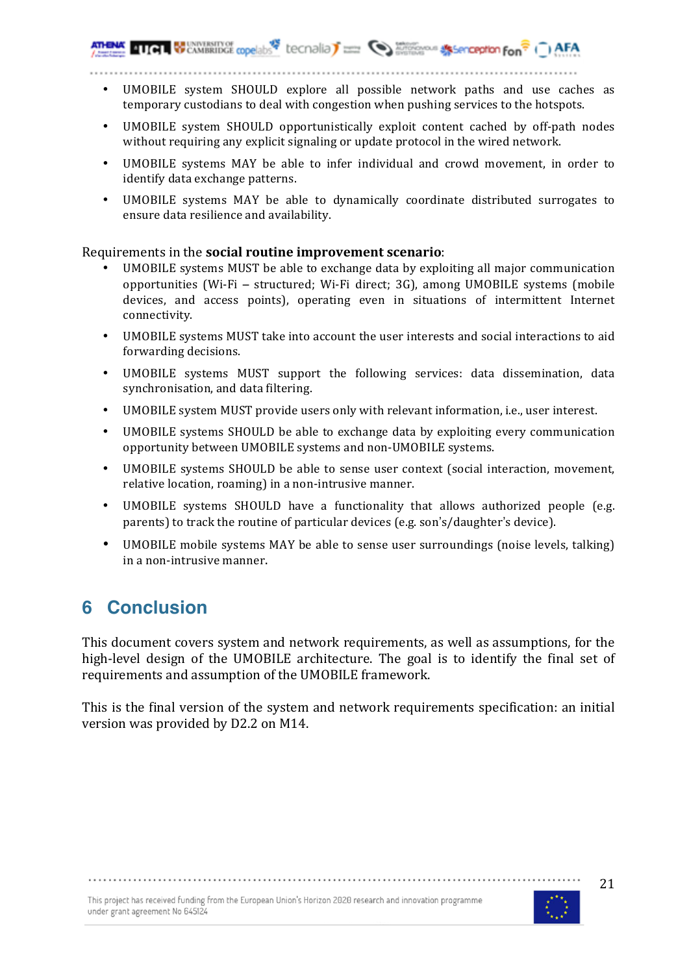- UMOBILE system SHOULD explore all possible network paths and use caches as temporary custodians to deal with congestion when pushing services to the hotspots.
- UMOBILE system SHOULD opportunistically exploit content cached by off-path nodes without requiring any explicit signaling or update protocol in the wired network.
- UMOBILE systems MAY be able to infer individual and crowd movement, in order to identify data exchange patterns.
- UMOBILE systems MAY be able to dynamically coordinate distributed surrogates to ensure data resilience and availability.

### Requirements in the **social routine improvement scenario**:

- UMOBILE systems MUST be able to exchange data by exploiting all major communication opportunities (Wi-Fi – structured; Wi-Fi direct; 3G), among UMOBILE systems (mobile devices, and access points), operating even in situations of intermittent Internet connectivity.
- UMOBILE systems MUST take into account the user interests and social interactions to aid forwarding decisions.
- UMOBILE systems MUST support the following services: data dissemination, data synchronisation, and data filtering.
- UMOBILE system MUST provide users only with relevant information, i.e., user interest.
- UMOBILE systems SHOULD be able to exchange data by exploiting every communication opportunity between UMOBILE systems and non-UMOBILE systems.
- UMOBILE systems SHOULD be able to sense user context (social interaction, movement, relative location, roaming) in a non-intrusive manner.
- UMOBILE systems SHOULD have a functionality that allows authorized people (e.g. parents) to track the routine of particular devices (e.g. son's/daughter's device).
- UMOBILE mobile systems MAY be able to sense user surroundings (noise levels, talking) in a non-intrusive manner.

# **6 Conclusion**

This document covers system and network requirements, as well as assumptions, for the high-level design of the UMOBILE architecture. The goal is to identify the final set of requirements and assumption of the UMOBILE framework.

This is the final version of the system and network requirements specification: an initial version was provided by D2.2 on M14.

This project has received funding from the European Union's Horizon 2020 research and innovation programme under grant agreement No 645124